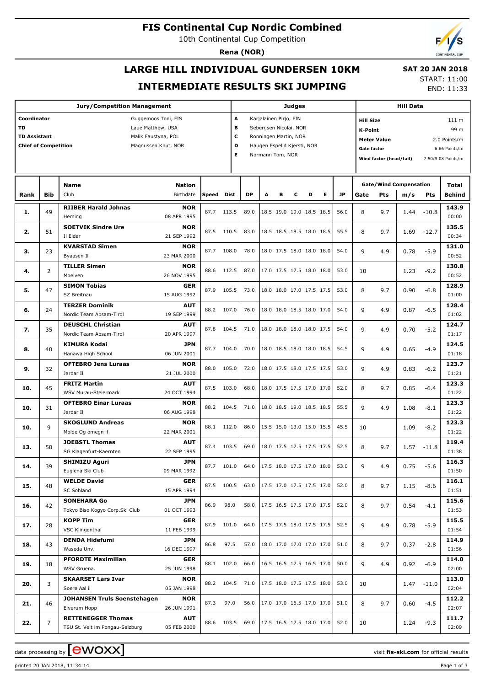## **FIS Continental Cup Nordic Combined**

10th Continental Cup Competition

**Rena (NOR)**

# **LARGE HILL INDIVIDUAL GUNDERSEN 10KM INTERMEDIATE RESULTS SKI JUMPING**

 **SAT 20 JAN 2018** START: 11:00

END: 11:33

| <b>Jury/Competition Management</b> |                                    |                                    |               |            |            |                                  | Judges |                             |   |                                 |                                    |                               |                         | <b>Hill Data</b>          |      |                    |               |  |
|------------------------------------|------------------------------------|------------------------------------|---------------|------------|------------|----------------------------------|--------|-----------------------------|---|---------------------------------|------------------------------------|-------------------------------|-------------------------|---------------------------|------|--------------------|---------------|--|
|                                    | Coordinator<br>Guggemoos Toni, FIS |                                    |               |            |            |                                  |        | Karjalainen Pirjo, FIN<br>A |   |                                 |                                    |                               |                         | 111 m<br><b>Hill Size</b> |      |                    |               |  |
| <b>TD</b><br>Laue Matthew, USA     |                                    |                                    |               |            |            | В<br>Sebergsen Nicolai, NOR      |        |                             |   |                                 |                                    | 99 m<br>K-Point               |                         |                           |      |                    |               |  |
| <b>TD Assistant</b>                |                                    | Malik Faustyna, POL                |               |            |            | с<br>Ronningen Martin, NOR       |        |                             |   |                                 | <b>Meter Value</b><br>2.0 Points/m |                               |                         |                           |      |                    |               |  |
| <b>Chief of Competition</b>        |                                    | Magnussen Knut, NOR                |               |            |            | D<br>Haugen Espelid Kjersti, NOR |        |                             |   |                                 | <b>Gate factor</b>                 |                               |                         |                           |      |                    |               |  |
|                                    |                                    |                                    |               |            | Е          | Normann Tom, NOR                 |        |                             |   |                                 |                                    |                               |                         |                           |      | 6.66 Points/m      |               |  |
|                                    |                                    |                                    |               |            |            |                                  |        |                             |   |                                 |                                    |                               | Wind factor (head/tail) |                           |      | 7.50/9.08 Points/m |               |  |
|                                    |                                    |                                    |               |            |            |                                  |        |                             |   |                                 |                                    |                               |                         |                           |      |                    |               |  |
|                                    |                                    | <b>Name</b>                        | <b>Nation</b> |            |            |                                  |        |                             |   |                                 |                                    | <b>Gate/Wind Compensation</b> |                         |                           |      | Total              |               |  |
| Rank                               | <b>Bib</b>                         | Club                               | Birthdate     | Speed Dist |            | <b>DP</b>                        | A      | в                           | c | D                               | Е                                  | <b>JP</b>                     | Gate                    | <b>Pts</b>                | m/s  | <b>Pts</b>         | <b>Behind</b> |  |
|                                    |                                    |                                    |               |            |            |                                  |        |                             |   |                                 |                                    |                               |                         |                           |      |                    |               |  |
| 1.                                 | 49                                 | <b>RIIBER Harald Johnas</b>        | <b>NOR</b>    | 87.7       | 113.5      | 89.0                             |        |                             |   | 18.5 19.0 19.0 18.5 18.5        |                                    | 56.0                          | 8                       | 9.7                       | 1.44 | $-10.8$            | 143.9         |  |
|                                    |                                    | Hemina                             | 08 APR 1995   |            |            |                                  |        |                             |   |                                 |                                    |                               |                         |                           |      |                    | 00:00         |  |
| 2.                                 | 51                                 | <b>SOETVIK Sindre Ure</b>          | <b>NOR</b>    | 87.5       | 110.5      | 83.0                             |        |                             |   | 18.5 18.5 18.5 18.0 18.5        |                                    | 55.5                          | 8                       | 9.7                       | 1.69 | $-12.7$            | 135.5         |  |
|                                    |                                    | Il Eldar                           | 21 SEP 1992   |            |            |                                  |        |                             |   |                                 |                                    |                               |                         |                           |      |                    | 00:34         |  |
|                                    |                                    | <b>KVARSTAD Simen</b>              | <b>NOR</b>    | 87.7       | 108.0      | 78.0                             |        |                             |   | 18.0 17.5 18.0 18.0 18.0        |                                    | 54.0                          | 9                       |                           |      |                    | 131.0         |  |
| з.                                 | 23                                 | Byaasen Il                         | 23 MAR 2000   |            |            |                                  |        |                             |   |                                 |                                    |                               |                         | 4.9                       | 0.78 | $-5.9$             | 00:52         |  |
|                                    |                                    | <b>TILLER Simen</b>                | <b>NOR</b>    |            |            |                                  |        |                             |   |                                 |                                    |                               |                         |                           |      |                    | 130.8         |  |
| 4.                                 | $\overline{2}$                     | Moelven                            | 26 NOV 1995   | 88.6       | 112.5      | 87.0                             |        |                             |   | 17.0 17.5 17.5 18.0 18.0        |                                    | 53.0                          | 10                      |                           | 1.23 | $-9.2$             | 00:52         |  |
|                                    |                                    | <b>SIMON Tobias</b>                | <b>GER</b>    |            |            |                                  |        |                             |   |                                 |                                    |                               |                         |                           |      |                    | 128.9         |  |
| 5.                                 | 47                                 | SZ Breitnau                        | 15 AUG 1992   | 87.9       | 105.5      | 73.0                             |        |                             |   | 18.0 18.0 17.0 17.5 17.5        |                                    | 53.0                          | 8                       | 9.7                       | 0.90 | $-6.8$             | 01:00         |  |
|                                    |                                    | <b>TERZER Dominik</b>              | <b>AUT</b>    |            |            |                                  |        |                             |   |                                 |                                    |                               |                         |                           |      |                    | 128.4         |  |
| 6.                                 | 24                                 |                                    | 19 SEP 1999   | 88.2       | 107.0      | 76.0                             |        |                             |   | 18.0 18.0 18.5 18.0 17.0        |                                    | 54.0                          | 9                       | 4.9                       | 0.87 | $-6.5$             |               |  |
|                                    |                                    | Nordic Team Absam-Tirol            |               |            |            |                                  |        |                             |   |                                 |                                    |                               |                         |                           |      |                    | 01:02         |  |
| 7.                                 | 35                                 | <b>DEUSCHL Christian</b>           | <b>AUT</b>    | 87.8       | 104.5      | 71.0                             |        |                             |   | 18.0 18.0 18.0 18.0 17.5        |                                    | 54.0                          | 9                       | 4.9                       | 0.70 | $-5.2$             | 124.7         |  |
|                                    |                                    | Nordic Team Absam-Tirol            | 20 APR 1997   |            |            |                                  |        |                             |   |                                 |                                    |                               |                         |                           |      |                    | 01:17         |  |
| 8.                                 | 40                                 | <b>KIMURA Kodai</b>                | JPN           | 87.7       | 104.0      | 70.0                             |        |                             |   | 18.0 18.5 18.0 18.0 18.5        |                                    | 54.5                          | 9                       | 4.9                       | 0.65 | $-4.9$             | 124.5         |  |
|                                    |                                    | Hanawa High School                 | 06 JUN 2001   |            |            |                                  |        |                             |   |                                 |                                    |                               |                         |                           |      |                    | 01:18         |  |
|                                    |                                    | <b>OFTEBRO Jens Luraas</b>         | <b>NOR</b>    |            |            |                                  |        |                             |   |                                 |                                    |                               |                         |                           |      |                    | 123.7         |  |
|                                    | 32<br>9.                           | Jardar II                          | 21 JUL 2000   | 88.0       | 105.0      | 72.0                             |        |                             |   | 18.0 17.5 18.0 17.5 17.5        |                                    | 53.0                          | 9                       | 4.9                       | 0.83 | $-6.2$             | 01:21         |  |
|                                    |                                    | <b>FRITZ Martin</b>                | <b>AUT</b>    |            |            |                                  |        |                             |   |                                 |                                    |                               |                         |                           |      |                    | 123.3         |  |
| 10.                                | 45                                 | WSV Murau-Steiermark               | 24 OCT 1994   | 87.5       | 103.0      | 68.0                             |        |                             |   | 18.0 17.5 17.5 17.0 17.0        |                                    | 52.0                          | 8                       | 9.7                       | 0.85 | $-6.4$             | 01:22         |  |
|                                    |                                    | <b>OFTEBRO Einar Luraas</b>        | <b>NOR</b>    |            |            |                                  |        |                             |   |                                 |                                    |                               |                         |                           |      |                    | 123.3         |  |
| 10.                                | 31                                 | Jardar II                          | 06 AUG 1998   | 88.2       | 104.5      | 71.0                             |        |                             |   | 18.0 18.5 19.0 18.5 18.5        |                                    | 55.5                          | 9                       | 4.9                       | 1.08 | $-8.1$             | 01:22         |  |
|                                    |                                    |                                    |               |            |            |                                  |        |                             |   |                                 |                                    |                               |                         |                           |      |                    |               |  |
| 10.                                | 9                                  | <b>SKOGLUND Andreas</b>            | <b>NOR</b>    | 88.1       | 112.0      | 86.0                             |        |                             |   | 15.5 15.0 13.0 15.0 15.5        |                                    | 45.5                          | 10                      |                           | 1.09 | $-8.2$             | 123.3         |  |
|                                    |                                    | Molde Og omegn if                  | 22 MAR 2001   |            |            |                                  |        |                             |   |                                 |                                    |                               |                         |                           |      |                    | 01:22         |  |
| 13.                                | 50                                 | <b>JOEBSTL Thomas</b>              | <b>AUT</b>    | 87.4       | 103.5      | 69.0                             |        |                             |   | 18.0 17.5 17.5 17.5 17.5        |                                    | 52.5                          | 8                       | 9.7                       | 1.57 | $-11.8$            | 119.4         |  |
|                                    |                                    | SG Klagenfurt-Kaernten             | 22 SEP 1995   |            |            |                                  |        |                             |   |                                 |                                    |                               |                         |                           |      |                    | 01:38         |  |
| 14.                                | 39                                 | <b>SHIMIZU Aguri</b>               | JPN           |            | 87.7 101.0 | 64.0 17.5 18.0 17.5 17.0 18.0    |        |                             |   |                                 |                                    | 53.0                          | 9                       | 4.9                       | 0.75 | $-5.6$             | 116.3         |  |
|                                    |                                    | Euglena Ski Club                   | 09 MAR 1992   |            |            |                                  |        |                             |   |                                 |                                    |                               |                         |                           |      |                    | 01:50         |  |
|                                    |                                    | <b>WELDE David</b>                 | GER           |            |            |                                  |        |                             |   |                                 |                                    |                               |                         |                           |      |                    | 116.1         |  |
| 15.                                | 48                                 | SC Sohland                         | 15 APR 1994   |            | 87.5 100.5 |                                  |        |                             |   | 63.0   17.5 17.0 17.5 17.5 17.0 |                                    | 52.0                          | 8                       | 9.7                       | 1.15 | $-8.6$             | 01:51         |  |
|                                    |                                    | <b>SONEHARA Go</b>                 | <b>JPN</b>    |            |            |                                  |        |                             |   |                                 |                                    |                               |                         |                           |      |                    | 115.6         |  |
| 16.                                | 42                                 | Tokyo Biso Kogyo Corp.Ski Club     | 01 OCT 1993   | 86.9       | 98.0       |                                  |        |                             |   | 58.0   17.5 16.5 17.5 17.0 17.5 |                                    | 52.0                          | 8                       | 9.7                       | 0.54 | $-4.1$             | 01:53         |  |
|                                    |                                    |                                    |               |            |            |                                  |        |                             |   |                                 |                                    |                               |                         |                           |      |                    |               |  |
| 17.                                | 28                                 | <b>KOPP Tim</b>                    | <b>GER</b>    | 87.9       | 101.0      | 64.0                             |        |                             |   | 17.5 17.5 18.0 17.5 17.5        |                                    | 52.5                          | 9                       | 4.9                       | 0.78 | $-5.9$             | 115.5         |  |
|                                    |                                    | VSC Klingenthal                    | 11 FEB 1999   |            |            |                                  |        |                             |   |                                 |                                    |                               |                         |                           |      |                    | 01:54         |  |
| 18.                                | 43                                 | <b>DENDA Hidefumi</b>              | JPN           | 86.8       | 97.5       | 57.0                             |        |                             |   | 18.0 17.0 17.0 17.0 17.0        |                                    | 51.0                          | 8                       | 9.7                       | 0.37 | $-2.8$             | 114.9         |  |
|                                    |                                    | Waseda Unv.                        | 16 DEC 1997   |            |            |                                  |        |                             |   |                                 |                                    |                               |                         |                           |      |                    | 01:56         |  |
|                                    |                                    | <b>PFORDTE Maximilian</b>          | <b>GER</b>    |            | 88.1 102.0 | 66.0                             |        |                             |   | 16.5 16.5 17.5 16.5 17.0        |                                    | 50.0                          | 9                       | 4.9                       | 0.92 | $-6.9$             | 114.0         |  |
| 19.                                | 18                                 | WSV Gruena.                        | 25 JUN 1998   |            |            |                                  |        |                             |   |                                 |                                    |                               |                         |                           |      |                    | 02:00         |  |
|                                    |                                    | <b>SKAARSET Lars Ivar</b>          | <b>NOR</b>    |            |            |                                  |        |                             |   |                                 |                                    |                               |                         |                           |      |                    | 113.0         |  |
| 20.                                | 3                                  | Soere Aal il                       | 05 JAN 1998   |            | 88.2 104.5 |                                  |        |                             |   | 71.0   17.5 18.0 17.5 17.5 18.0 |                                    | 53.0                          | 10                      |                           |      | $1.47 - 11.0$      | 02:04         |  |
|                                    |                                    | <b>JOHANSEN Truls Soenstehagen</b> | <b>NOR</b>    |            |            |                                  |        |                             |   |                                 |                                    |                               |                         |                           |      |                    | 112.2         |  |
| 21.                                | 46                                 | Elverum Hopp                       | 26 JUN 1991   | 87.3       | 97.0       | 56.0                             |        |                             |   | 17.0 17.0 16.5 17.0 17.0        |                                    | 51.0                          | 8                       | 9.7                       | 0.60 | $-4.5$             | 02:07         |  |
|                                    |                                    | <b>RETTENEGGER Thomas</b>          |               |            |            |                                  |        |                             |   |                                 |                                    |                               |                         |                           |      |                    |               |  |
| 22.                                | $\overline{7}$                     |                                    | <b>AUT</b>    |            | 88.6 103.5 | 69.0                             |        |                             |   | 17.5 16.5 17.5 18.0 17.0        |                                    | 52.0                          | 10                      |                           | 1.24 | $-9.3$             | 111.7         |  |
|                                    |                                    | TSU St. Veit im Pongau-Salzburg    | 05 FEB 2000   |            |            |                                  |        |                             |   |                                 |                                    |                               |                         |                           |      |                    | 02:09         |  |

data processing by **CWOXX** and  $\overline{A}$  wisit **fis-ski.com** for official results

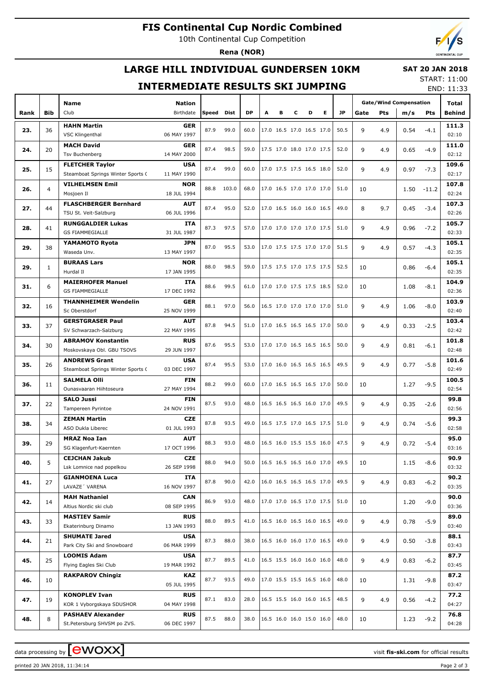## **FIS Continental Cup Nordic Combined**

10th Continental Cup Competition

**Rena (NOR)**

## **LARGE HILL INDIVIDUAL GUNDERSEN 10KM**

### **INTERMEDIATE RESULTS SKI JUMPING**

START: 11:00

 **SAT 20 JAN 2018**

|      |                |                                   | INTERMEDIATE RESULTS SKI JUMPING |       |       |           |   |                          |                          |                          |                          |                               |      |            |      |                  |                                                                                                                                                                                                                                                                                                                                                                                                                                                                                                                                                                                                       |
|------|----------------|-----------------------------------|----------------------------------|-------|-------|-----------|---|--------------------------|--------------------------|--------------------------|--------------------------|-------------------------------|------|------------|------|------------------|-------------------------------------------------------------------------------------------------------------------------------------------------------------------------------------------------------------------------------------------------------------------------------------------------------------------------------------------------------------------------------------------------------------------------------------------------------------------------------------------------------------------------------------------------------------------------------------------------------|
|      |                | <b>Name</b><br><b>Nation</b>      |                                  |       |       |           |   |                          |                          |                          |                          | <b>Gate/Wind Compensation</b> |      |            |      |                  |                                                                                                                                                                                                                                                                                                                                                                                                                                                                                                                                                                                                       |
| Rank | <b>Bib</b>     | Club                              | Birthdate                        | Speed | Dist  | <b>DP</b> | Α | B                        | с                        | D                        | E.                       | JP.                           | Gate | <b>Pts</b> | m/s  |                  |                                                                                                                                                                                                                                                                                                                                                                                                                                                                                                                                                                                                       |
|      |                |                                   |                                  |       |       |           |   |                          |                          |                          |                          |                               |      |            |      |                  |                                                                                                                                                                                                                                                                                                                                                                                                                                                                                                                                                                                                       |
| 23.  | 36             | <b>HAHN Martin</b>                | GER                              | 87.9  | 99.0  | 60.0      |   | 17.0 16.5 17.0 16.5 17.0 |                          |                          |                          | 50.5                          | 9    | 4.9        | 0.54 | $-4.1$           |                                                                                                                                                                                                                                                                                                                                                                                                                                                                                                                                                                                                       |
|      |                | VSC Klingenthal                   | 06 MAY 1997                      |       |       |           |   |                          |                          |                          |                          |                               |      |            |      |                  |                                                                                                                                                                                                                                                                                                                                                                                                                                                                                                                                                                                                       |
| 24.  | 20             | <b>MACH David</b>                 | GER                              | 87.4  | 98.5  | 59.0      |   | 17.5 17.0 18.0 17.0 17.5 |                          |                          |                          | 52.0                          | 9    | 4.9        | 0.65 | $-4.9$           |                                                                                                                                                                                                                                                                                                                                                                                                                                                                                                                                                                                                       |
|      |                | Tsv Buchenberg                    | 14 MAY 2000                      |       |       |           |   |                          |                          |                          |                          |                               |      |            |      |                  |                                                                                                                                                                                                                                                                                                                                                                                                                                                                                                                                                                                                       |
| 25.  | 15             | <b>FLETCHER Tavlor</b>            | <b>USA</b>                       | 87.4  | 99.0  | 60.0      |   | 17.0 17.5 17.5 16.5 18.0 |                          |                          |                          | 52.0                          | 9    | 4.9        | 0.97 | $-7.3$           |                                                                                                                                                                                                                                                                                                                                                                                                                                                                                                                                                                                                       |
|      |                | Steamboat Springs Winter Sports C | 11 MAY 1990                      |       |       |           |   |                          |                          |                          |                          |                               |      |            |      |                  |                                                                                                                                                                                                                                                                                                                                                                                                                                                                                                                                                                                                       |
| 26.  | $\overline{4}$ | <b>VILHELMSEN Emil</b>            | <b>NOR</b>                       | 88.8  | 103.0 | 68.0      |   | 17.0 16.5 17.0 17.0 17.0 |                          |                          |                          | 51.0                          | 10   |            | 1.50 | $-11.2$          |                                                                                                                                                                                                                                                                                                                                                                                                                                                                                                                                                                                                       |
|      |                | Mosjoen Il                        | 18 JUL 1994                      |       |       |           |   |                          |                          |                          |                          |                               |      |            |      |                  |                                                                                                                                                                                                                                                                                                                                                                                                                                                                                                                                                                                                       |
| 27.  | 44             | <b>FLASCHBERGER Bernhard</b>      | <b>AUT</b>                       | 87.4  | 95.0  | 52.0      |   | 17.0 16.5 16.0 16.0 16.5 |                          |                          |                          | 49.0                          | 8    | 9.7        | 0.45 | $-3.4$           |                                                                                                                                                                                                                                                                                                                                                                                                                                                                                                                                                                                                       |
|      |                | TSU St. Veit-Salzburg             | 06 JUL 1996                      |       |       |           |   |                          |                          |                          |                          |                               |      |            |      |                  |                                                                                                                                                                                                                                                                                                                                                                                                                                                                                                                                                                                                       |
| 28.  | 41             | <b>RUNGGALDIER Lukas</b>          | <b>ITA</b>                       | 87.3  | 97.5  | 57.0      |   | 17.0 17.0 17.0 17.0 17.5 |                          |                          |                          | 51.0                          | 9    | 4.9        | 0.96 | $-7.2$           |                                                                                                                                                                                                                                                                                                                                                                                                                                                                                                                                                                                                       |
|      |                | <b>GS FIAMMEGIALLE</b>            | 31 JUL 1987                      |       |       |           |   |                          |                          |                          |                          |                               |      |            |      |                  |                                                                                                                                                                                                                                                                                                                                                                                                                                                                                                                                                                                                       |
| 29.  | 38             | YAMAMOTO Ryota                    | JPN                              | 87.0  | 95.5  | 53.0      |   | 17.0 17.5 17.5 17.0 17.0 |                          |                          |                          | 51.5                          | 9    | 4.9        | 0.57 | $-4.3$           |                                                                                                                                                                                                                                                                                                                                                                                                                                                                                                                                                                                                       |
|      |                | Waseda Unv.                       | 13 MAY 1997                      |       |       |           |   |                          |                          |                          |                          |                               |      |            |      |                  |                                                                                                                                                                                                                                                                                                                                                                                                                                                                                                                                                                                                       |
| 29.  | $\mathbf{1}$   | <b>BURAAS Lars</b>                | <b>NOR</b>                       | 88.0  | 98.5  | 59.0      |   | 17.5 17.5 17.0 17.5 17.5 |                          |                          |                          | 52.5                          | 10   |            | 0.86 |                  |                                                                                                                                                                                                                                                                                                                                                                                                                                                                                                                                                                                                       |
|      |                | Hurdal II                         | 17 JAN 1995                      |       |       |           |   |                          |                          |                          |                          |                               |      |            |      |                  |                                                                                                                                                                                                                                                                                                                                                                                                                                                                                                                                                                                                       |
| 31.  | 6              | <b>MAIERHOFER Manuel</b>          | <b>ITA</b>                       | 88.6  | 99.5  | 61.0      |   | 17.0 17.0 17.5 17.5 18.5 |                          |                          |                          | 52.0                          | 10   |            | 1.08 |                  | 104.9                                                                                                                                                                                                                                                                                                                                                                                                                                                                                                                                                                                                 |
|      |                | <b>GS FIAMMEGIALLE</b>            | 17 DEC 1992                      |       |       |           |   |                          |                          |                          |                          |                               |      |            |      |                  | 02:36                                                                                                                                                                                                                                                                                                                                                                                                                                                                                                                                                                                                 |
| 32.  | 16             | <b>THANNHEIMER Wendelin</b>       | GER                              | 88.1  | 97.0  | 56.0      |   | 16.5 17.0 17.0 17.0 17.0 |                          |                          |                          | 51.0                          | 9    | 4.9        | 1.06 |                  | END: 11:33<br>Total<br><b>Pts</b><br>Behind<br>111.3<br>02:10<br>111.0<br>02:12<br>109.6<br>02:17<br>107.8<br>02:24<br>107.3<br>02:26<br>105.7<br>02:33<br>105.1<br>02:35<br>105.1<br>$-6.4$<br>02:35<br>$-8.1$<br>103.9<br>$-8.0$<br>02:40<br>103.4<br>$-2.5$<br>02:42<br>101.8<br>$-6.1$<br>02:48<br>101.6<br>$-5.8$<br>02:49<br>100.5<br>$-9.5$<br>02:54<br>99.8<br>02:56<br>99.3<br>02:58<br>95.0<br>$-5.4$<br>03:16<br>90.9<br>03:32<br>90.2<br>$-6.2$<br>03:35<br>90.0<br>$-9.0$<br>03:36<br>89.0<br>03:40<br>88.1<br>03:43<br>87.7<br>03:45<br>87.2<br>03:47<br>77.2<br>04:27<br>76.8<br>04:28 |
|      |                | Sc Oberstdorf                     | 25 NOV 1999                      |       |       |           |   |                          |                          |                          |                          |                               |      |            |      |                  |                                                                                                                                                                                                                                                                                                                                                                                                                                                                                                                                                                                                       |
| 33.  | 37             | <b>GERSTGRASER Paul</b>           | <b>AUT</b>                       | 87.8  | 94.5  | 51.0      |   | 17.0 16.5 16.5 16.5 17.0 |                          |                          |                          | 50.0                          | 9    | 4.9        | 0.33 |                  |                                                                                                                                                                                                                                                                                                                                                                                                                                                                                                                                                                                                       |
|      |                | SV Schwarzach-Salzburg            | 22 MAY 1995                      |       |       |           |   |                          |                          |                          |                          |                               |      |            |      |                  |                                                                                                                                                                                                                                                                                                                                                                                                                                                                                                                                                                                                       |
| 34.  | 30             | <b>ABRAMOV Konstantin</b>         | <b>RUS</b>                       | 87.6  | 95.5  | 53.0      |   | 17.0 17.0 16.5 16.5 16.5 |                          |                          |                          | 50.0                          | 9    | 4.9        | 0.81 |                  |                                                                                                                                                                                                                                                                                                                                                                                                                                                                                                                                                                                                       |
|      |                | Moskovskaya Obl. GBU TSOVS        | 29 JUN 1997                      |       |       |           |   |                          |                          |                          |                          |                               |      |            |      |                  |                                                                                                                                                                                                                                                                                                                                                                                                                                                                                                                                                                                                       |
| 35.  | 26             | <b>ANDREWS Grant</b>              | <b>USA</b>                       | 87.4  | 95.5  | 53.0      |   | 17.0 16.0 16.5 16.5 16.5 |                          |                          |                          | 49.5                          | 9    | 4.9        | 0.77 |                  |                                                                                                                                                                                                                                                                                                                                                                                                                                                                                                                                                                                                       |
|      |                | Steamboat Springs Winter Sports C | 03 DEC 1997                      |       |       |           |   |                          |                          |                          |                          |                               |      |            |      |                  |                                                                                                                                                                                                                                                                                                                                                                                                                                                                                                                                                                                                       |
|      |                | <b>SALMELA Olli</b>               | <b>FIN</b>                       | 88.2  | 99.0  | 60.0      |   |                          | 17.0 16.5 16.5 16.5 17.0 |                          |                          | 50.0                          | 10   |            | 1.27 |                  |                                                                                                                                                                                                                                                                                                                                                                                                                                                                                                                                                                                                       |
| 36.  | 11             | Ounasvaaran Hiihtoseura           | 27 MAY 1994                      |       |       |           |   |                          |                          |                          |                          |                               |      |            |      |                  |                                                                                                                                                                                                                                                                                                                                                                                                                                                                                                                                                                                                       |
|      |                | <b>SALO Jussi</b>                 | <b>FIN</b>                       | 87.5  |       |           |   |                          |                          |                          |                          | 49.5                          | 9    | 4.9        | 0.35 | $-2.6$<br>$-5.6$ |                                                                                                                                                                                                                                                                                                                                                                                                                                                                                                                                                                                                       |
| 37.  | 22             | Tampereen Pyrintoe                | 24 NOV 1991                      |       | 93.0  | 48.0      |   |                          | 16.5 16.5 16.5 16.0 17.0 |                          |                          |                               |      |            |      |                  |                                                                                                                                                                                                                                                                                                                                                                                                                                                                                                                                                                                                       |
|      |                | <b>ZEMAN Martin</b>               | <b>CZE</b>                       | 87.8  | 93.5  |           |   |                          |                          |                          | 16.5 17.5 17.0 16.5 17.5 |                               |      |            |      |                  |                                                                                                                                                                                                                                                                                                                                                                                                                                                                                                                                                                                                       |
| 38.  | 34             | ASO Dukla Liberec                 | 01 JUL 1993                      |       |       | 49.0      |   |                          |                          |                          |                          | 51.0                          | 9    | 4.9        | 0.74 |                  |                                                                                                                                                                                                                                                                                                                                                                                                                                                                                                                                                                                                       |
|      |                | <b>MRAZ Noa Ian</b>               | <b>AUT</b>                       |       |       |           |   |                          |                          |                          |                          |                               |      |            |      |                  |                                                                                                                                                                                                                                                                                                                                                                                                                                                                                                                                                                                                       |
| 39.  | 29             | SG Klagenfurt-Kaernten            | 17 OCT 1996                      | 88.3  | 93.0  | 48.0      |   |                          |                          |                          | 16.5 16.0 15.5 15.5 16.0 | 47.5                          | 9    | 4.9        | 0.72 |                  |                                                                                                                                                                                                                                                                                                                                                                                                                                                                                                                                                                                                       |
|      |                | <b>CEJCHAN Jakub</b>              | <b>CZE</b>                       |       |       |           |   |                          |                          |                          |                          |                               |      |            |      |                  |                                                                                                                                                                                                                                                                                                                                                                                                                                                                                                                                                                                                       |
| 40.  | 5              | Lsk Lomnice nad popelkou          | 26 SEP 1998                      | 88.0  | 94.0  | 50.0      |   |                          |                          |                          | 16.5 16.5 16.5 16.0 17.0 | 49.5                          | 10   |            | 1.15 | $-8.6$           |                                                                                                                                                                                                                                                                                                                                                                                                                                                                                                                                                                                                       |
|      |                | <b>GIANMOENA Luca</b>             | <b>ITA</b>                       |       |       |           |   |                          |                          |                          |                          |                               |      |            |      |                  |                                                                                                                                                                                                                                                                                                                                                                                                                                                                                                                                                                                                       |
| 41.  | 27             | LAVAZE' VARENA                    | 16 NOV 1997                      | 87.8  | 90.0  | 42.0      |   |                          |                          |                          | 16.0 16.5 16.5 16.5 17.0 | 49.5                          | 9    | 4.9        | 0.83 |                  |                                                                                                                                                                                                                                                                                                                                                                                                                                                                                                                                                                                                       |
|      |                | <b>MAH Nathaniel</b>              | <b>CAN</b>                       |       |       |           |   |                          |                          |                          |                          |                               |      |            |      |                  |                                                                                                                                                                                                                                                                                                                                                                                                                                                                                                                                                                                                       |
| 42.  | 14             | Altius Nordic ski club            | 08 SEP 1995                      | 86.9  | 93.0  | 48.0      |   |                          |                          |                          | 17.0 17.0 16.5 17.0 17.5 | 51.0                          | 10   |            | 1.20 |                  |                                                                                                                                                                                                                                                                                                                                                                                                                                                                                                                                                                                                       |
|      |                | <b>MASTIEV Samir</b>              | <b>RUS</b>                       |       |       |           |   |                          |                          |                          |                          |                               |      |            |      |                  |                                                                                                                                                                                                                                                                                                                                                                                                                                                                                                                                                                                                       |
| 43.  | 33             | Ekaterinburg Dinamo               | 13 JAN 1993                      | 88.0  | 89.5  | 41.0      |   |                          |                          |                          | 16.5 16.0 16.5 16.0 16.5 | 49.0                          | 9    | 4.9        | 0.78 | $-5.9$           |                                                                                                                                                                                                                                                                                                                                                                                                                                                                                                                                                                                                       |
|      |                | <b>SHUMATE Jared</b>              | USA                              |       |       |           |   |                          |                          |                          |                          |                               |      |            |      |                  |                                                                                                                                                                                                                                                                                                                                                                                                                                                                                                                                                                                                       |
| 44.  | 21             | Park City Ski and Snowboard       | 06 MAR 1999                      | 87.3  | 88.0  | 38.0      |   |                          |                          |                          | 16.5 16.0 16.0 17.0 16.5 | 49.0                          | 9    | 4.9        | 0.50 | $-3.8$           |                                                                                                                                                                                                                                                                                                                                                                                                                                                                                                                                                                                                       |
|      |                | <b>LOOMIS Adam</b>                | <b>USA</b>                       |       |       |           |   |                          |                          |                          |                          |                               |      |            |      |                  |                                                                                                                                                                                                                                                                                                                                                                                                                                                                                                                                                                                                       |
| 45.  | 25             | Flying Eagles Ski Club            | 19 MAR 1992                      | 87.7  | 89.5  | 41.0      |   |                          |                          |                          | 16.5 15.5 16.0 16.0 16.0 | 48.0                          | 9    | 4.9        | 0.83 | $-6.2$           |                                                                                                                                                                                                                                                                                                                                                                                                                                                                                                                                                                                                       |
|      |                | <b>RAKPAROV Chingiz</b>           | KAZ                              |       |       |           |   |                          |                          |                          |                          |                               |      |            |      |                  |                                                                                                                                                                                                                                                                                                                                                                                                                                                                                                                                                                                                       |
| 46.  | 10             |                                   | 05 JUL 1995                      | 87.7  | 93.5  | 49.0      |   |                          |                          | 17.0 15.5 15.5 16.5 16.0 |                          | 48.0                          | 10   |            | 1.31 | $-9.8$           |                                                                                                                                                                                                                                                                                                                                                                                                                                                                                                                                                                                                       |
|      |                | <b>KONOPLEV Ivan</b>              | <b>RUS</b>                       |       |       |           |   |                          |                          |                          |                          |                               |      |            |      |                  |                                                                                                                                                                                                                                                                                                                                                                                                                                                                                                                                                                                                       |
| 47.  | 19             | KOR 1 Vyborgskaya SDUSHOR         | 04 MAY 1998                      | 87.1  | 83.0  | 28.0      |   |                          |                          |                          | 16.5 15.5 16.0 16.0 16.5 | 48.5                          | 9    | 4.9        | 0.56 | $-4.2$           |                                                                                                                                                                                                                                                                                                                                                                                                                                                                                                                                                                                                       |
|      |                | <b>PASHAEV Alexander</b>          | <b>RUS</b>                       |       |       |           |   |                          |                          |                          |                          |                               |      |            |      |                  |                                                                                                                                                                                                                                                                                                                                                                                                                                                                                                                                                                                                       |
| 48.  | 8              | St.Petersburg SHVSM po ZVS.       | 06 DEC 1997                      | 87.5  | 88.0  | 38.0      |   |                          |                          |                          | 16.5 16.0 16.0 15.0 16.0 | 48.0                          | 10   |            | 1.23 | $-9.2$           |                                                                                                                                                                                                                                                                                                                                                                                                                                                                                                                                                                                                       |
|      |                |                                   |                                  |       |       |           |   |                          |                          |                          |                          |                               |      |            |      |                  |                                                                                                                                                                                                                                                                                                                                                                                                                                                                                                                                                                                                       |

data processing by **CWOXX** and  $\overline{C}$  and  $\overline{C}$  and  $\overline{C}$  and  $\overline{C}$  and  $\overline{C}$  and  $\overline{C}$  and  $\overline{C}$  and  $\overline{C}$  and  $\overline{C}$  and  $\overline{C}$  and  $\overline{C}$  and  $\overline{C}$  and  $\overline{C}$  and  $\overline{C}$  and  $\overline{C}$